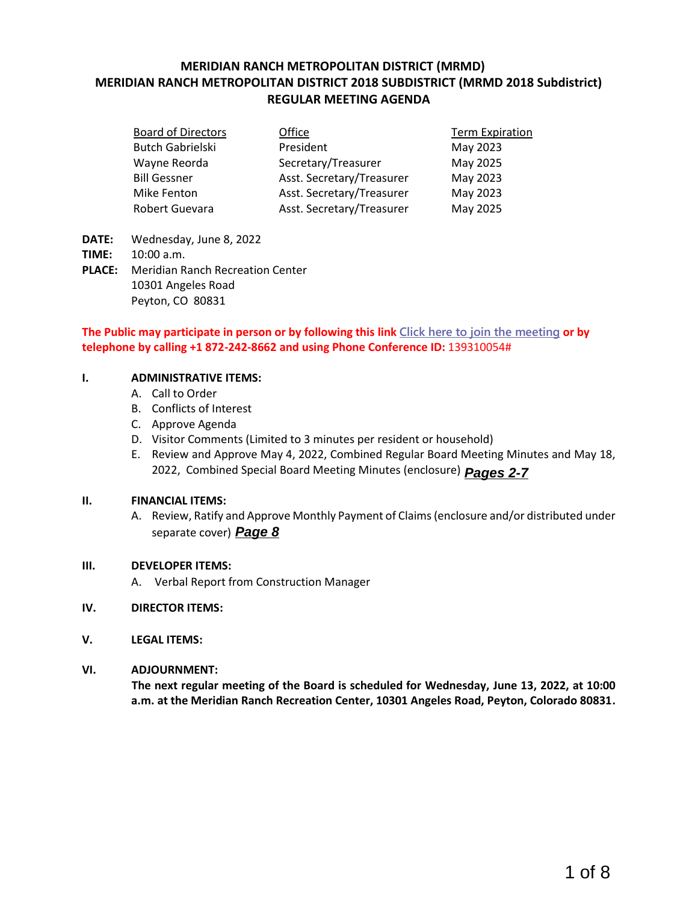### **MERIDIAN RANCH METROPOLITAN DISTRICT (MRMD) MERIDIAN RANCH METROPOLITAN DISTRICT 2018 SUBDISTRICT (MRMD 2018 Subdistrict) REGULAR MEETING AGENDA**

| <b>Board of Directors</b> | Office                    | <b>Term Expiration</b> |
|---------------------------|---------------------------|------------------------|
| <b>Butch Gabrielski</b>   | President                 | May 2023               |
| Wayne Reorda              | Secretary/Treasurer       | May 2025               |
| <b>Bill Gessner</b>       | Asst. Secretary/Treasurer | May 2023               |
| Mike Fenton               | Asst. Secretary/Treasurer | May 2023               |
| Robert Guevara            | Asst. Secretary/Treasurer | May 2025               |

- **DATE:** Wednesday, June 8, 2022
- **TIME:** 10:00 a.m.
- **PLACE:** Meridian Ranch Recreation Center 10301 Angeles Road Peyton, CO 80831

### **The Public may participate in person or by following this link [Click here to join the meeting](https://teams.microsoft.com/l/meetup-join/19%3ameeting_MmZiOWYyZjYtNThlOC00MWVlLTkyMjctNTA5ODYxNmI1YWI2%40thread.v2/0?context=%7b%22Tid%22%3a%22ddbf1e07-ec1e-4dc6-8ef3-1a31c2da785b%22%2c%22Oid%22%3a%22778ad138-ba67-4d4d-bdb1-39557c30639d%22%7d) or by telephone by calling +1 872-242-8662 and using Phone Conference ID:** 139310054#

### **I. ADMINISTRATIVE ITEMS:**

- A. Call to Order
- B. Conflicts of Interest
- C. Approve Agenda
- D. Visitor Comments (Limited to 3 minutes per resident or household)
- E. Review and Approve May 4, 2022, Combined Regular Board Meeting Minutes and May 18, 2022, Combined Special Board Meeting Minutes (enclosure) Pages 2-7

### **II. FINANCIAL ITEMS:**

A. Review, Ratify and Approve Monthly Payment of Claims (enclosure and/or distributed under separate cover) **Page 8** 1 Special Board Meeting Minutes (enclosure) **Pages 2-7**<br>
Ad Approve Monthly Payment of Claims (enclosure and/or distributed under<br> **Page 8**<br>
Comm Construction Manager<br>
Peting of the Board is scheduled for Wednesday, June 1

### **III. DEVELOPER ITEMS:**

A. Verbal Report from Construction Manager

### **IV. DIRECTOR ITEMS:**

**V. LEGAL ITEMS:**

### **VI. ADJOURNMENT:**

**The next regular meeting of the Board is scheduled for Wednesday, June 13, 2022, at 10:00 a.m. at the Meridian Ranch Recreation Center, 10301 Angeles Road, Peyton, Colorado 80831.**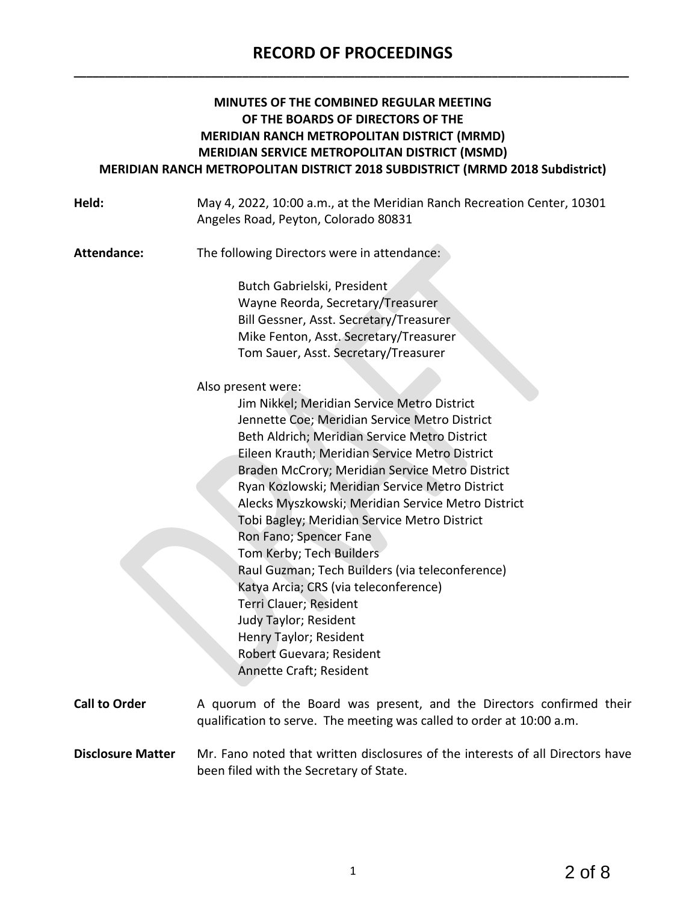## **RECORD OF PROCEEDINGS \_\_\_\_\_\_\_\_\_\_\_\_\_\_\_\_\_\_\_\_\_\_\_\_\_\_\_\_\_\_\_\_\_\_\_\_\_\_\_\_\_\_\_\_\_\_\_\_\_\_\_\_\_\_\_\_\_\_\_\_\_\_\_\_\_\_\_\_\_\_\_\_\_\_\_\_\_\_\_\_\_\_\_\_\_\_\_\_\_**

### **MINUTES OF THE COMBINED REGULAR MEETING OF THE BOARDS OF DIRECTORS OF THE MERIDIAN RANCH METROPOLITAN DISTRICT (MRMD) MERIDIAN SERVICE METROPOLITAN DISTRICT (MSMD) MERIDIAN RANCH METROPOLITAN DISTRICT 2018 SUBDISTRICT (MRMD 2018 Subdistrict)**

| Held:                    | May 4, 2022, 10:00 a.m., at the Meridian Ranch Recreation Center, 10301<br>Angeles Road, Peyton, Colorado 80831                               |
|--------------------------|-----------------------------------------------------------------------------------------------------------------------------------------------|
| Attendance:              | The following Directors were in attendance:                                                                                                   |
|                          | Butch Gabrielski, President<br>Wayne Reorda, Secretary/Treasurer<br>Bill Gessner, Asst. Secretary/Treasurer                                   |
|                          | Mike Fenton, Asst. Secretary/Treasurer                                                                                                        |
|                          | Tom Sauer, Asst. Secretary/Treasurer                                                                                                          |
|                          | Also present were:                                                                                                                            |
|                          | Jim Nikkel; Meridian Service Metro District                                                                                                   |
|                          | Jennette Coe; Meridian Service Metro District                                                                                                 |
|                          | Beth Aldrich; Meridian Service Metro District                                                                                                 |
|                          | Eileen Krauth; Meridian Service Metro District                                                                                                |
|                          | Braden McCrory; Meridian Service Metro District                                                                                               |
|                          | Ryan Kozlowski; Meridian Service Metro District                                                                                               |
|                          | Alecks Myszkowski; Meridian Service Metro District                                                                                            |
|                          | Tobi Bagley; Meridian Service Metro District                                                                                                  |
|                          | Ron Fano; Spencer Fane                                                                                                                        |
|                          | Tom Kerby; Tech Builders<br>Raul Guzman; Tech Builders (via teleconference)                                                                   |
|                          | Katya Arcia; CRS (via teleconference)                                                                                                         |
|                          | Terri Clauer; Resident                                                                                                                        |
|                          | Judy Taylor; Resident                                                                                                                         |
|                          | Henry Taylor; Resident                                                                                                                        |
|                          | Robert Guevara; Resident                                                                                                                      |
|                          | Annette Craft; Resident                                                                                                                       |
| <b>Call to Order</b>     | A quorum of the Board was present, and the Directors confirmed their<br>qualification to serve. The meeting was called to order at 10:00 a.m. |
| <b>Disclosure Matter</b> | Mr. Fano noted that written disclosures of the interests of all Directors have                                                                |

**Disclosure Matter** Mr. Fano noted that written disclosures of the interests of all Directors have been filed with the Secretary of State.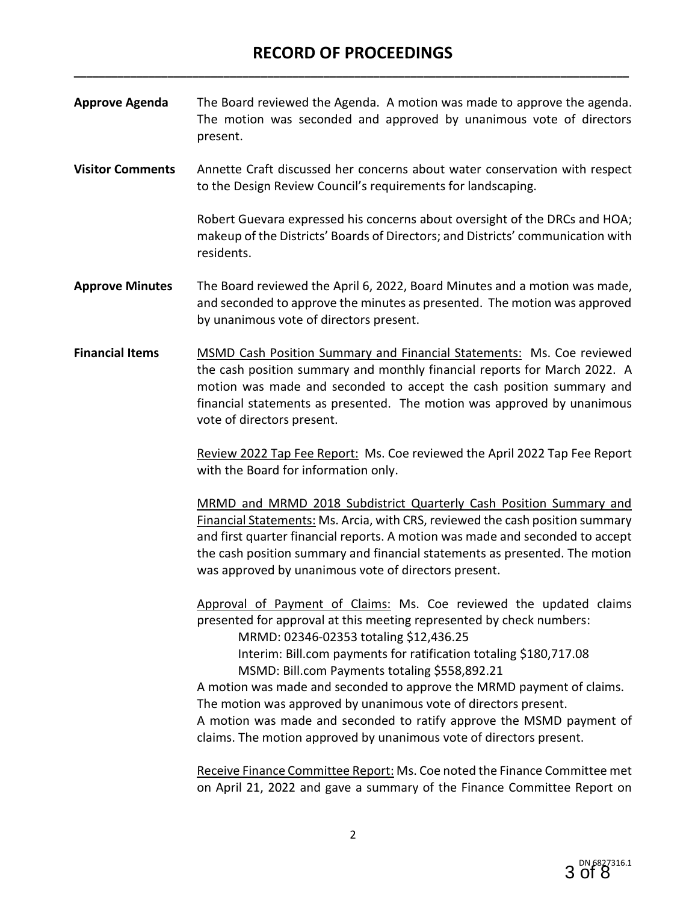**Approve Agenda** The Board reviewed the Agenda. A motion was made to approve the agenda. The motion was seconded and approved by unanimous vote of directors present.

**Visitor Comments** Annette Craft discussed her concerns about water conservation with respect to the Design Review Council's requirements for landscaping.

> Robert Guevara expressed his concerns about oversight of the DRCs and HOA; makeup of the Districts' Boards of Directors; and Districts' communication with residents.

- **Approve Minutes** The Board reviewed the April 6, 2022, Board Minutes and a motion was made, and seconded to approve the minutes as presented. The motion was approved by unanimous vote of directors present.
- **Financial Items** MSMD Cash Position Summary and Financial Statements: Ms. Coe reviewed the cash position summary and monthly financial reports for March 2022. A motion was made and seconded to accept the cash position summary and financial statements as presented. The motion was approved by unanimous vote of directors present.

Review 2022 Tap Fee Report: Ms. Coe reviewed the April 2022 Tap Fee Report with the Board for information only.

MRMD and MRMD 2018 Subdistrict Quarterly Cash Position Summary and Financial Statements: Ms. Arcia, with CRS, reviewed the cash position summary and first quarter financial reports. A motion was made and seconded to accept the cash position summary and financial statements as presented. The motion was approved by unanimous vote of directors present.

Approval of Payment of Claims: Ms. Coe reviewed the updated claims presented for approval at this meeting represented by check numbers:

MRMD: 02346-02353 totaling \$12,436.25

Interim: Bill.com payments for ratification totaling \$180,717.08

MSMD: Bill.com Payments totaling \$558,892.21

A motion was made and seconded to approve the MRMD payment of claims. The motion was approved by unanimous vote of directors present.

A motion was made and seconded to ratify approve the MSMD payment of claims. The motion approved by unanimous vote of directors present.

Receive Finance Committee Report: Ms. Coe noted the Finance Committee met on April 21, 2022 and gave a summary of the Finance Committee Report on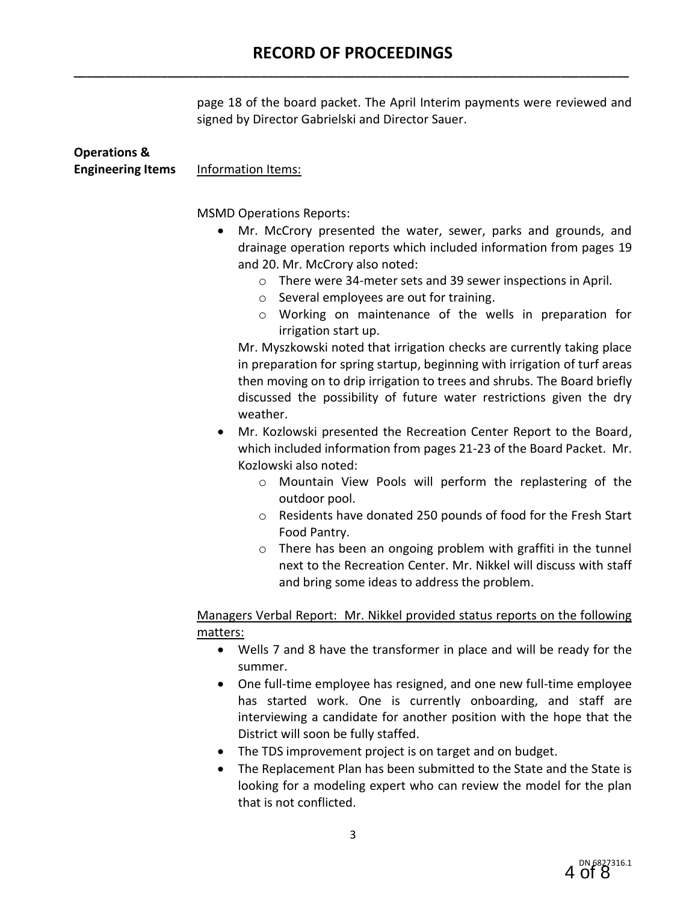page 18 of the board packet. The April Interim payments were reviewed and signed by Director Gabrielski and Director Sauer.

| <b>Operations &amp;</b>  |                                                                                                                                                                                                                                                                                                                                                                                                                                                                                                                                                                                                                                                                                                                                                                                                                                                                                                                                                                                                                                                                                                                                                                                                                                                                                                                              |
|--------------------------|------------------------------------------------------------------------------------------------------------------------------------------------------------------------------------------------------------------------------------------------------------------------------------------------------------------------------------------------------------------------------------------------------------------------------------------------------------------------------------------------------------------------------------------------------------------------------------------------------------------------------------------------------------------------------------------------------------------------------------------------------------------------------------------------------------------------------------------------------------------------------------------------------------------------------------------------------------------------------------------------------------------------------------------------------------------------------------------------------------------------------------------------------------------------------------------------------------------------------------------------------------------------------------------------------------------------------|
| <b>Engineering Items</b> | Information Items:                                                                                                                                                                                                                                                                                                                                                                                                                                                                                                                                                                                                                                                                                                                                                                                                                                                                                                                                                                                                                                                                                                                                                                                                                                                                                                           |
|                          | <b>MSMD Operations Reports:</b><br>Mr. McCrory presented the water, sewer, parks and grounds, and<br>drainage operation reports which included information from pages 19<br>and 20. Mr. McCrory also noted:<br>There were 34-meter sets and 39 sewer inspections in April.<br>$\circ$<br>Several employees are out for training.<br>$\circ$<br>Working on maintenance of the wells in preparation for<br>$\circ$<br>irrigation start up.<br>Mr. Myszkowski noted that irrigation checks are currently taking place<br>in preparation for spring startup, beginning with irrigation of turf areas<br>then moving on to drip irrigation to trees and shrubs. The Board briefly<br>discussed the possibility of future water restrictions given the dry<br>weather.<br>Mr. Kozlowski presented the Recreation Center Report to the Board,<br>which included information from pages 21-23 of the Board Packet. Mr.<br>Kozlowski also noted:<br>Mountain View Pools will perform the replastering of the<br>$\circ$<br>outdoor pool.<br>Residents have donated 250 pounds of food for the Fresh Start<br>$\circ$<br>Food Pantry.<br>There has been an ongoing problem with graffiti in the tunnel<br>$\circ$<br>next to the Recreation Center. Mr. Nikkel will discuss with staff<br>and bring some ideas to address the problem. |
|                          | Managers Verbal Report: Mr. Nikkel provided status reports on the following                                                                                                                                                                                                                                                                                                                                                                                                                                                                                                                                                                                                                                                                                                                                                                                                                                                                                                                                                                                                                                                                                                                                                                                                                                                  |
|                          | matters:                                                                                                                                                                                                                                                                                                                                                                                                                                                                                                                                                                                                                                                                                                                                                                                                                                                                                                                                                                                                                                                                                                                                                                                                                                                                                                                     |
|                          | Wells 7 and 8 have the transformer in place and will be ready for the                                                                                                                                                                                                                                                                                                                                                                                                                                                                                                                                                                                                                                                                                                                                                                                                                                                                                                                                                                                                                                                                                                                                                                                                                                                        |
|                          | summer.                                                                                                                                                                                                                                                                                                                                                                                                                                                                                                                                                                                                                                                                                                                                                                                                                                                                                                                                                                                                                                                                                                                                                                                                                                                                                                                      |
|                          | One full-time employee has resigned, and one new full-time employee                                                                                                                                                                                                                                                                                                                                                                                                                                                                                                                                                                                                                                                                                                                                                                                                                                                                                                                                                                                                                                                                                                                                                                                                                                                          |
|                          | has started work. One is currently onboarding, and staff are                                                                                                                                                                                                                                                                                                                                                                                                                                                                                                                                                                                                                                                                                                                                                                                                                                                                                                                                                                                                                                                                                                                                                                                                                                                                 |
|                          | interviewing a candidate for another position with the hope that the<br>District will soon be fully staffed.                                                                                                                                                                                                                                                                                                                                                                                                                                                                                                                                                                                                                                                                                                                                                                                                                                                                                                                                                                                                                                                                                                                                                                                                                 |
|                          | The TDS improvement project is on target and on budget.                                                                                                                                                                                                                                                                                                                                                                                                                                                                                                                                                                                                                                                                                                                                                                                                                                                                                                                                                                                                                                                                                                                                                                                                                                                                      |
|                          | e Deplecement Dlan has been submitted to the Ctate and the Ctate is                                                                                                                                                                                                                                                                                                                                                                                                                                                                                                                                                                                                                                                                                                                                                                                                                                                                                                                                                                                                                                                                                                                                                                                                                                                          |

• The Replacement Plan has been submitted to the State and the State is looking for a modeling expert who can review the model for the plan that is not conflicted.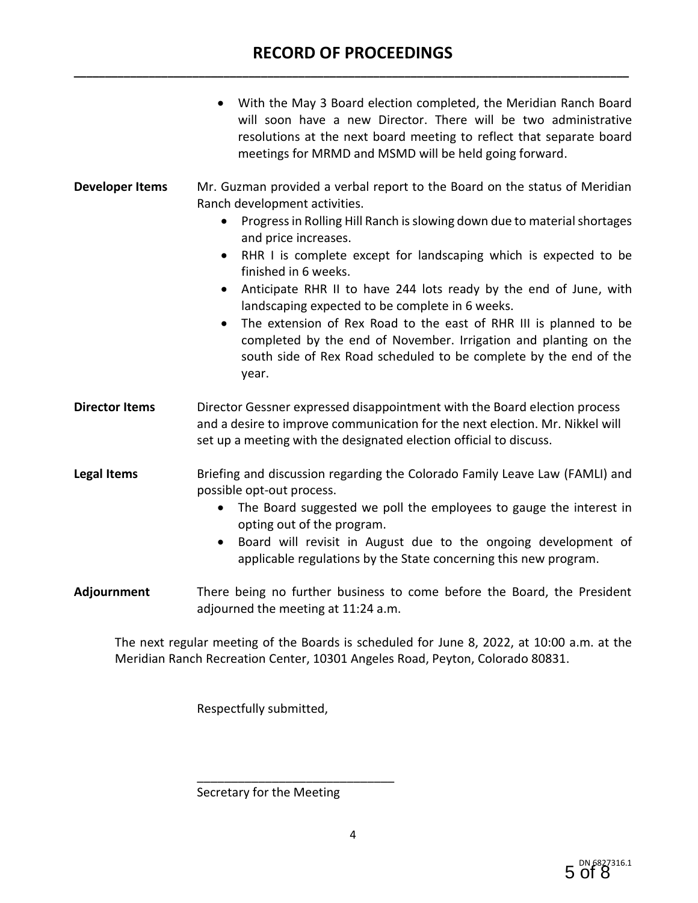## **RECORD OF PROCEEDINGS \_\_\_\_\_\_\_\_\_\_\_\_\_\_\_\_\_\_\_\_\_\_\_\_\_\_\_\_\_\_\_\_\_\_\_\_\_\_\_\_\_\_\_\_\_\_\_\_\_\_\_\_\_\_\_\_\_\_\_\_\_\_\_\_\_\_\_\_\_\_\_\_\_\_\_\_\_\_\_\_\_\_\_\_\_\_\_\_\_**

|                        | With the May 3 Board election completed, the Meridian Ranch Board<br>will soon have a new Director. There will be two administrative<br>resolutions at the next board meeting to reflect that separate board<br>meetings for MRMD and MSMD will be held going forward.                                                                                                                                                                                                                                                                                                                                                                                                                    |
|------------------------|-------------------------------------------------------------------------------------------------------------------------------------------------------------------------------------------------------------------------------------------------------------------------------------------------------------------------------------------------------------------------------------------------------------------------------------------------------------------------------------------------------------------------------------------------------------------------------------------------------------------------------------------------------------------------------------------|
| <b>Developer Items</b> | Mr. Guzman provided a verbal report to the Board on the status of Meridian<br>Ranch development activities.<br>Progress in Rolling Hill Ranch is slowing down due to material shortages<br>$\bullet$<br>and price increases.<br>RHR I is complete except for landscaping which is expected to be<br>$\bullet$<br>finished in 6 weeks.<br>Anticipate RHR II to have 244 lots ready by the end of June, with<br>٠<br>landscaping expected to be complete in 6 weeks.<br>The extension of Rex Road to the east of RHR III is planned to be<br>completed by the end of November. Irrigation and planting on the<br>south side of Rex Road scheduled to be complete by the end of the<br>year. |
| <b>Director Items</b>  | Director Gessner expressed disappointment with the Board election process<br>and a desire to improve communication for the next election. Mr. Nikkel will<br>set up a meeting with the designated election official to discuss.                                                                                                                                                                                                                                                                                                                                                                                                                                                           |
| <b>Legal Items</b>     | Briefing and discussion regarding the Colorado Family Leave Law (FAMLI) and<br>possible opt-out process.<br>The Board suggested we poll the employees to gauge the interest in<br>opting out of the program.<br>Board will revisit in August due to the ongoing development of<br>applicable regulations by the State concerning this new program.                                                                                                                                                                                                                                                                                                                                        |
| Adjournment            | There being no further business to come before the Board, the President<br>adjourned the meeting at 11:24 a.m.                                                                                                                                                                                                                                                                                                                                                                                                                                                                                                                                                                            |

The next regular meeting of the Boards is scheduled for June 8, 2022, at 10:00 a.m. at the Meridian Ranch Recreation Center, 10301 Angeles Road, Peyton, Colorado 80831.

Respectfully submitted,

Secretary for the Meeting

\_\_\_\_\_\_\_\_\_\_\_\_\_\_\_\_\_\_\_\_\_\_\_\_\_\_\_\_\_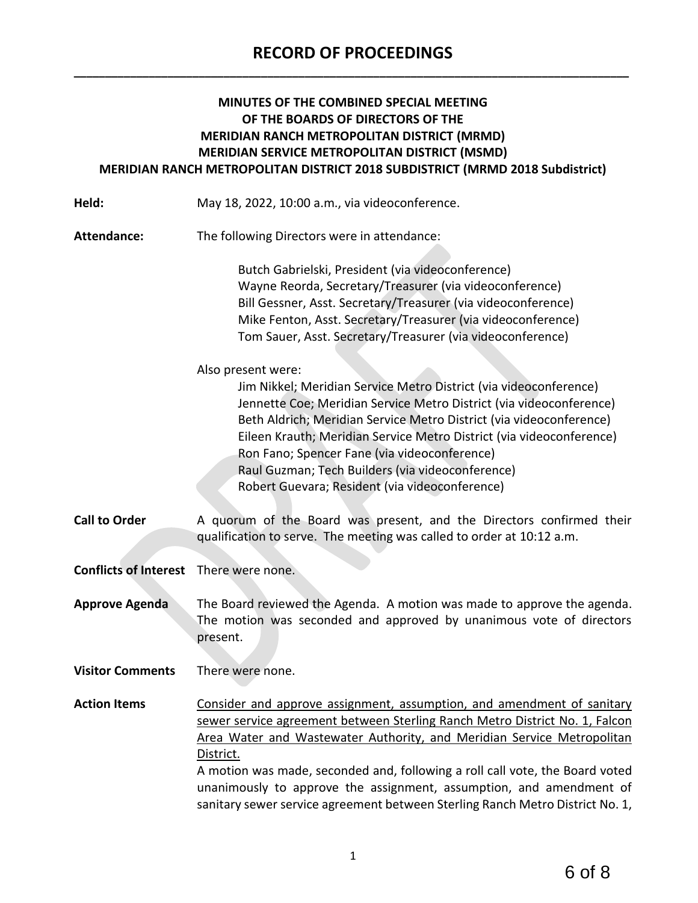## **RECORD OF PROCEEDINGS \_\_\_\_\_\_\_\_\_\_\_\_\_\_\_\_\_\_\_\_\_\_\_\_\_\_\_\_\_\_\_\_\_\_\_\_\_\_\_\_\_\_\_\_\_\_\_\_\_\_\_\_\_\_\_\_\_\_\_\_\_\_\_\_\_\_\_\_\_\_\_\_\_\_\_\_\_\_\_\_\_\_\_\_\_\_\_\_\_**

### **MINUTES OF THE COMBINED SPECIAL MEETING OF THE BOARDS OF DIRECTORS OF THE MERIDIAN RANCH METROPOLITAN DISTRICT (MRMD) MERIDIAN SERVICE METROPOLITAN DISTRICT (MSMD) MERIDIAN RANCH METROPOLITAN DISTRICT 2018 SUBDISTRICT (MRMD 2018 Subdistrict)**

**Held:** May 18, 2022, 10:00 a.m., via videoconference.

**Attendance:** The following Directors were in attendance:

Butch Gabrielski, President (via videoconference) Wayne Reorda, Secretary/Treasurer (via videoconference) Bill Gessner, Asst. Secretary/Treasurer (via videoconference) Mike Fenton, Asst. Secretary/Treasurer (via videoconference) Tom Sauer, Asst. Secretary/Treasurer (via videoconference)

Also present were:

Jim Nikkel; Meridian Service Metro District (via videoconference) Jennette Coe; Meridian Service Metro District (via videoconference) Beth Aldrich; Meridian Service Metro District (via videoconference) Eileen Krauth; Meridian Service Metro District (via videoconference) Ron Fano; Spencer Fane (via videoconference) Raul Guzman; Tech Builders (via videoconference) Robert Guevara; Resident (via videoconference)

**Call to Order** A quorum of the Board was present, and the Directors confirmed their qualification to serve. The meeting was called to order at 10:12 a.m.

**Conflicts of Interest** There were none.

**Approve Agenda** The Board reviewed the Agenda. A motion was made to approve the agenda. The motion was seconded and approved by unanimous vote of directors present.

**Visitor Comments** There were none.

**Action Items** Consider and approve assignment, assumption, and amendment of sanitary sewer service agreement between Sterling Ranch Metro District No. 1, Falcon Area Water and Wastewater Authority, and Meridian Service Metropolitan District. A motion was made, seconded and, following a roll call vote, the Board voted unanimously to approve the assignment, assumption, and amendment of sanitary sewer service agreement between Sterling Ranch Metro District No. 1,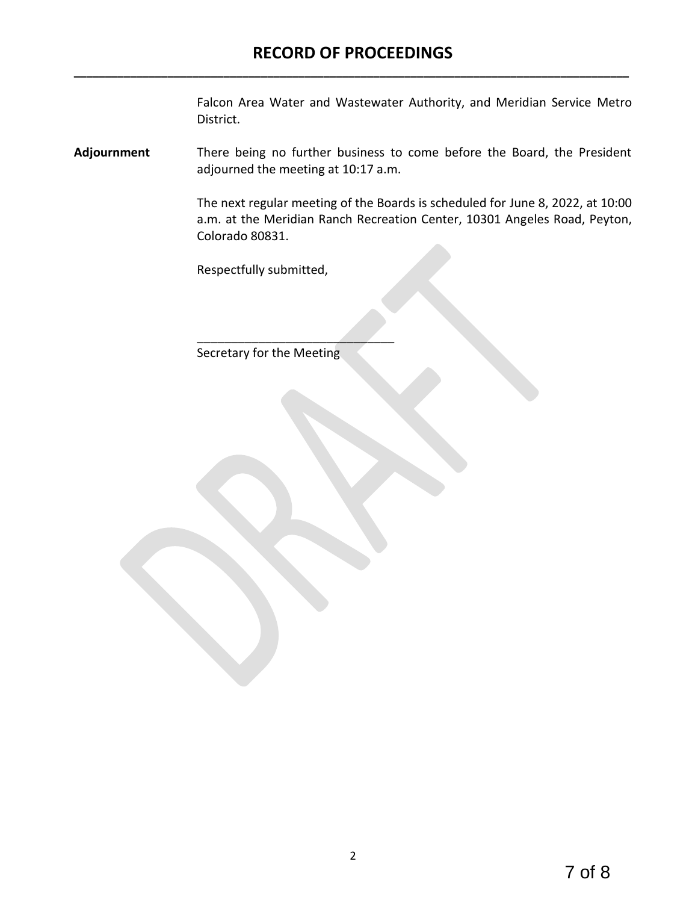Falcon Area Water and Wastewater Authority, and Meridian Service Metro District.

**Adjournment** There being no further business to come before the Board, the President adjourned the meeting at 10:17 a.m.

> The next regular meeting of the Boards is scheduled for June 8, 2022, at 10:00 a.m. at the Meridian Ranch Recreation Center, 10301 Angeles Road, Peyton, Colorado 80831.

Respectfully submitted,

Secretary for the Meeting

\_\_\_\_\_\_\_\_\_\_\_\_\_\_\_\_\_\_\_\_\_\_\_\_\_\_\_\_\_